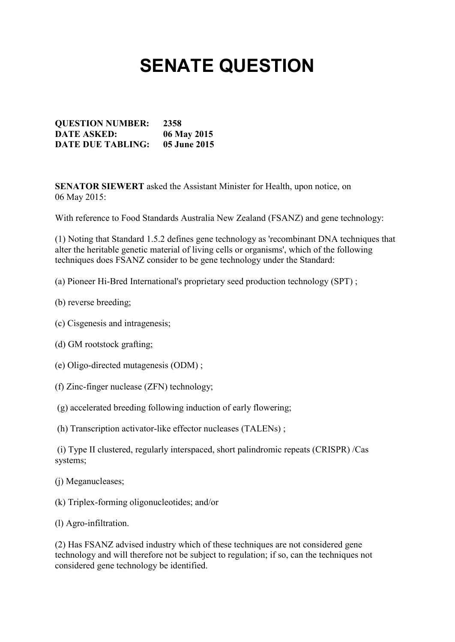## **SENATE QUESTION**

**QUESTION NUMBER: 2358 DATE ASKED: 06 May 2015 DATE DUE TABLING: 05 June 2015**

**SENATOR SIEWERT** asked the Assistant Minister for Health, upon notice, on 06 May 2015:

With reference to Food Standards Australia New Zealand (FSANZ) and gene technology:

(1) Noting that Standard 1.5.2 defines gene technology as 'recombinant DNA techniques that alter the heritable genetic material of living cells or organisms', which of the following techniques does FSANZ consider to be gene technology under the Standard:

(a) Pioneer Hi-Bred International's proprietary seed production technology (SPT) ;

- (b) reverse breeding;
- (c) Cisgenesis and intragenesis;
- (d) GM rootstock grafting;
- (e) Oligo-directed mutagenesis (ODM) ;
- (f) Zinc-finger nuclease (ZFN) technology;
- (g) accelerated breeding following induction of early flowering;
- (h) Transcription activator-like effector nucleases (TALENs) ;

(i) Type II clustered, regularly interspaced, short palindromic repeats (CRISPR) /Cas systems;

- (j) Meganucleases;
- (k) Triplex-forming oligonucleotides; and/or
- (l) Agro-infiltration.

(2) Has FSANZ advised industry which of these techniques are not considered gene technology and will therefore not be subject to regulation; if so, can the techniques not considered gene technology be identified.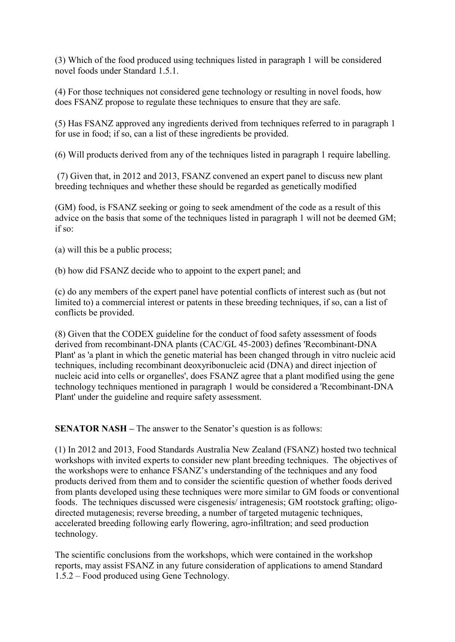(3) Which of the food produced using techniques listed in paragraph 1 will be considered novel foods under Standard 1.5.1.

(4) For those techniques not considered gene technology or resulting in novel foods, how does FSANZ propose to regulate these techniques to ensure that they are safe.

(5) Has FSANZ approved any ingredients derived from techniques referred to in paragraph 1 for use in food; if so, can a list of these ingredients be provided.

(6) Will products derived from any of the techniques listed in paragraph 1 require labelling.

(7) Given that, in 2012 and 2013, FSANZ convened an expert panel to discuss new plant breeding techniques and whether these should be regarded as genetically modified

(GM) food, is FSANZ seeking or going to seek amendment of the code as a result of this advice on the basis that some of the techniques listed in paragraph 1 will not be deemed GM; if so:

(a) will this be a public process;

(b) how did FSANZ decide who to appoint to the expert panel; and

(c) do any members of the expert panel have potential conflicts of interest such as (but not limited to) a commercial interest or patents in these breeding techniques, if so, can a list of conflicts be provided.

(8) Given that the CODEX guideline for the conduct of food safety assessment of foods derived from recombinant-DNA plants (CAC/GL 45-2003) defines 'Recombinant-DNA Plant' as 'a plant in which the genetic material has been changed through in vitro nucleic acid techniques, including recombinant deoxyribonucleic acid (DNA) and direct injection of nucleic acid into cells or organelles', does FSANZ agree that a plant modified using the gene technology techniques mentioned in paragraph 1 would be considered a 'Recombinant-DNA Plant' under the guideline and require safety assessment.

**SENATOR NASH –** The answer to the Senator's question is as follows:

(1) In 2012 and 2013, Food Standards Australia New Zealand (FSANZ) hosted two technical workshops with invited experts to consider new plant breeding techniques. The objectives of the workshops were to enhance FSANZ's understanding of the techniques and any food products derived from them and to consider the scientific question of whether foods derived from plants developed using these techniques were more similar to GM foods or conventional foods. The techniques discussed were cisgenesis/ intragenesis; GM rootstock grafting; oligodirected mutagenesis; reverse breeding, a number of targeted mutagenic techniques, accelerated breeding following early flowering, agro-infiltration; and seed production technology.

The scientific conclusions from the workshops, which were contained in the workshop reports, may assist FSANZ in any future consideration of applications to amend Standard 1.5.2 – Food produced using Gene Technology.